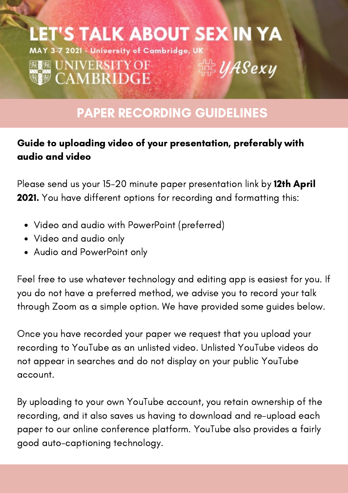### **LET'S TALK ABOUT SEX IN YA** MAY 3-7 2021 - University of Cambridge, UK **| 感慨 UNIVERSITY OF** 鹮*UASexy* **WE CAMBRIDGE**

## PAPER RECORDING GUIDELINES

#### Guide to uploading video of your presentation, preferably with audio and video

Please send us your 15-20 minute paper presentation link by 12th April 2021. You have different options for recording and formatting this:

- Video and audio with PowerPoint (preferred)
- Video and audio only
- Audio and PowerPoint only

Feel free to use whatever technology and editing app is easiest for you. If you do not have a preferred method, we advise you to record your talk through Zoom as a simple option. We have provided some guides below.

Once you have recorded your paper we request that you upload your recording to YouTube as an unlisted video. Unlisted YouTube videos do not appear in searches and do not display on your public YouTube account.

By uploading to your own YouTube account, you retain ownership of the recording, and it also saves us having to download and re-upload each paper to our online conference platform. YouTube also provides a fairly good auto-captioning technology.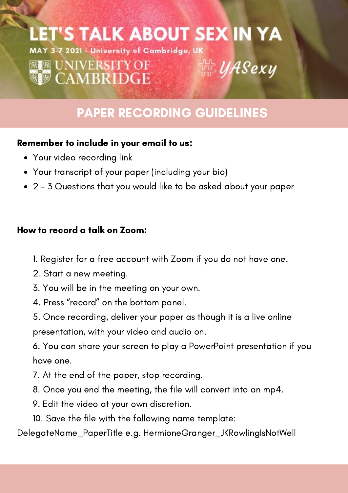## LET'S TALK ABOUT SEX IN YA

<sub>は</sub><br>器*UASexy* MAY 3-7 2021 - University of Cambridge, UK

## **BEB UNIVERSITY OF WE CAMBRIDGE**

## PAPER RECORDING GUIDELINES

#### Remember to include in your email to us:

- Your video recording link
- Your transcript of your paper (including your bio)
- 2 3 Questions that you would like to be asked about your paper

#### How to record a talk on Zoom:

- 1. Register for a free account with Zoom if you do not have one.
- 2. Start a new meeting.
- 3. You will be in the meeting on your own.
- 4. Press "record" on the bottom panel.
- 5. Once recording, deliver your paper as though it is a live online presentation, with your video and audio on.
- 6. You can share your screen to play a PowerPoint presentation if you have one.
- 7. At the end of the paper, stop recording.
- 8. Once you end the meeting, the file will convert into an mp4.
- 9. Edit the video at your own discretion.
- 10. Save the file with the following name template:

DelegateName\_PaperTitle e.g. HermioneGranger\_JKRowlingIsNotWell